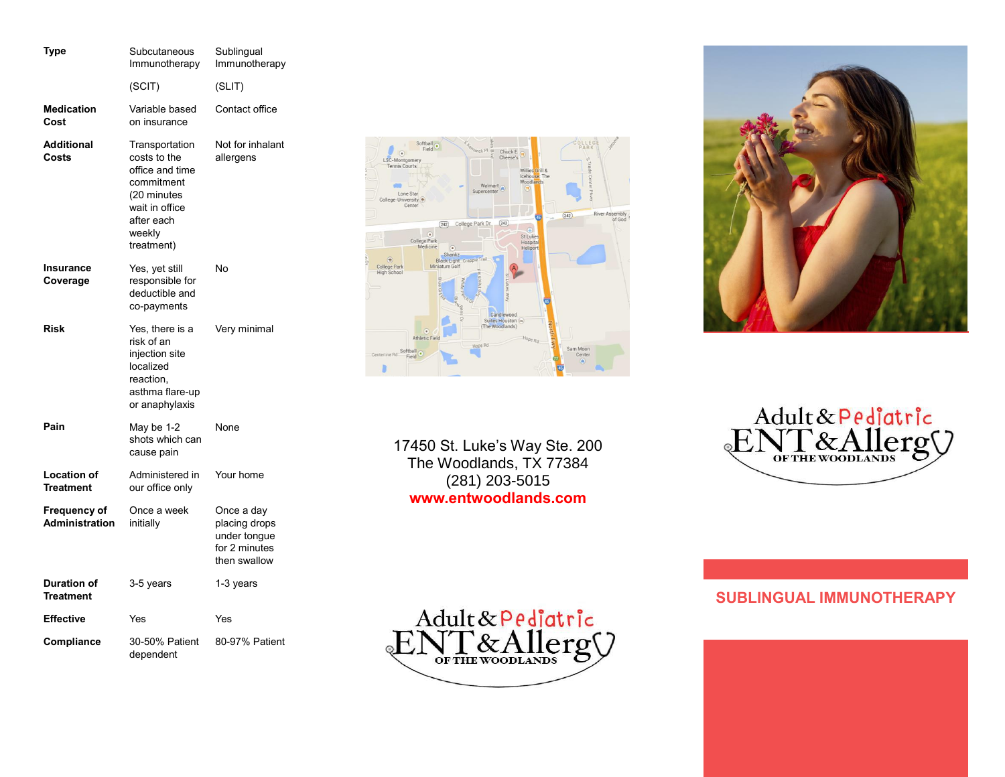| Type                                   | Subcutaneous<br>Immunotherapy                                                                                                          | Sublingual<br>Immunotherapy                                                  |
|----------------------------------------|----------------------------------------------------------------------------------------------------------------------------------------|------------------------------------------------------------------------------|
|                                        | (SCIT)                                                                                                                                 | (SLIT)                                                                       |
| <b>Medication</b><br>Cost              | Variable based<br>on insurance                                                                                                         | Contact office                                                               |
| <b>Additional</b><br>Costs             | Transportation<br>costs to the<br>office and time<br>commitment<br>(20 minutes<br>wait in office<br>after each<br>weekly<br>treatment) | Not for inhalant<br>allergens                                                |
| Insurance<br>Coverage                  | Yes, yet still<br>responsible for<br>deductible and<br>co-payments                                                                     | No                                                                           |
| <b>Risk</b>                            | Yes, there is a<br>risk of an<br>injection site<br>localized<br>reaction.<br>asthma flare-up<br>or anaphylaxis                         | Very minimal                                                                 |
| Pain                                   | May be 1-2<br>shots which can<br>cause pain                                                                                            | None                                                                         |
| <b>Location of</b><br><b>Treatment</b> | Administered in<br>our office only                                                                                                     | Your home                                                                    |
| <b>Frequency of</b><br>Administration  | Once a week<br>initially                                                                                                               | Once a day<br>placing drops<br>under tongue<br>for 2 minutes<br>then swallow |
| <b>Duration of</b><br><b>Treatment</b> | 3-5 years                                                                                                                              | 1-3 years                                                                    |
| <b>Effective</b>                       | Yes                                                                                                                                    | Yes                                                                          |
| Compliance                             | 30-50% Patient<br>dependent                                                                                                            | 80-97% Patient                                                               |



17450 St. Luke's Way Ste. 200 The Woodlands, TX 77384 (281) 203-5015 **www.entwoodlands.com**





# **SUBLINGUAL IMMUNOTHERAPY**